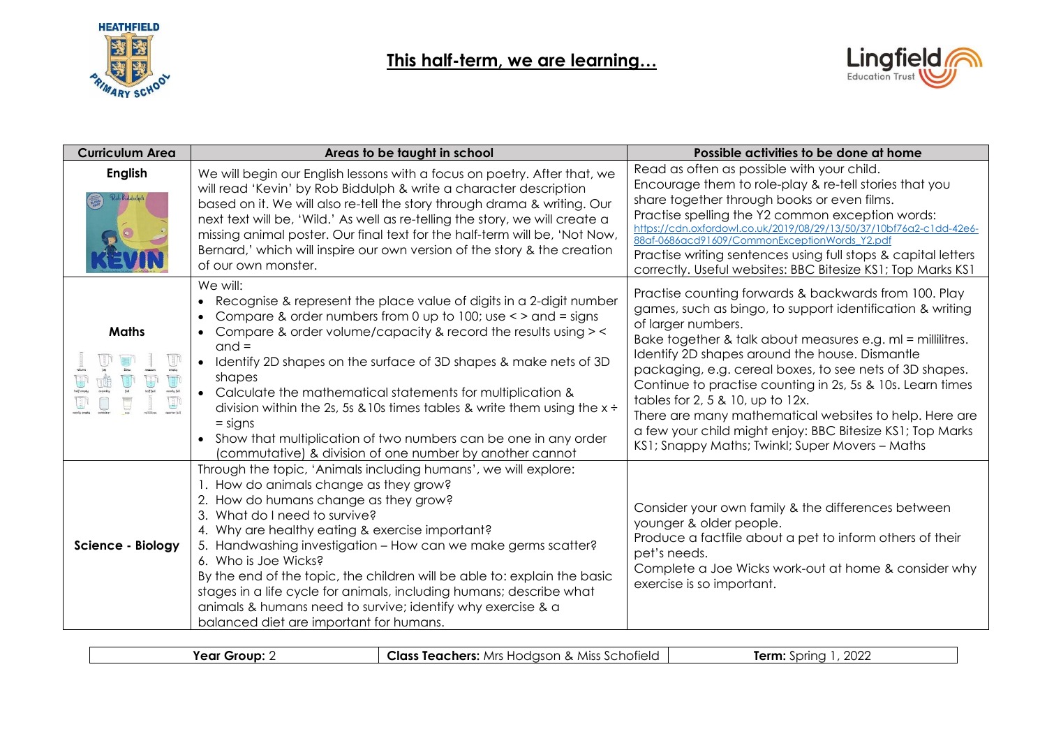



| <b>Curriculum Area</b>                        | Areas to be taught in school                                                                                                                                                                                                                                                                                                                                                                                                                                                                                                                                                                                                           | Possible activities to be done at home                                                                                                                                                                                                                                                                                                                                                                                                                                                                                                                                                          |
|-----------------------------------------------|----------------------------------------------------------------------------------------------------------------------------------------------------------------------------------------------------------------------------------------------------------------------------------------------------------------------------------------------------------------------------------------------------------------------------------------------------------------------------------------------------------------------------------------------------------------------------------------------------------------------------------------|-------------------------------------------------------------------------------------------------------------------------------------------------------------------------------------------------------------------------------------------------------------------------------------------------------------------------------------------------------------------------------------------------------------------------------------------------------------------------------------------------------------------------------------------------------------------------------------------------|
| <b>English</b><br>Rob Biddulph<br><b>AVEN</b> | We will begin our English lessons with a focus on poetry. After that, we<br>will read 'Kevin' by Rob Biddulph & write a character description<br>based on it. We will also re-tell the story through drama & writing. Our<br>next text will be, 'Wild.' As well as re-telling the story, we will create a<br>missing animal poster. Our final text for the half-term will be, 'Not Now,<br>Bernard,' which will inspire our own version of the story & the creation<br>of our own monster.                                                                                                                                             | Read as often as possible with your child.<br>Encourage them to role-play & re-tell stories that you<br>share together through books or even films.<br>Practise spelling the Y2 common exception words:<br>https://cdn.oxfordowl.co.uk/2019/08/29/13/50/37/10bf76a2-c1dd-42e6-<br>88af-0686acd91609/CommonExceptionWords Y2.pdf<br>Practise writing sentences using full stops & capital letters<br>correctly. Useful websites: BBC Bitesize KS1; Top Marks KS1                                                                                                                                 |
| <b>Maths</b>                                  | We will:<br>Recognise & represent the place value of digits in a 2-digit number<br>Compare & order numbers from 0 up to 100; use $\lt$ > and = signs<br>Compare & order volume/capacity & record the results using > <<br>$\bullet$<br>$and =$<br>Identify 2D shapes on the surface of 3D shapes & make nets of 3D<br>shapes<br>• Calculate the mathematical statements for multiplication &<br>division within the 2s, 5s & 10s times tables & write them using the $x \div$<br>$=$ signs<br>Show that multiplication of two numbers can be one in any order<br>$\bullet$<br>(commutative) & division of one number by another cannot | Practise counting forwards & backwards from 100. Play<br>games, such as bingo, to support identification & writing<br>of larger numbers.<br>Bake together & talk about measures e.g. ml = millilitres.<br>Identify 2D shapes around the house. Dismantle<br>packaging, e.g. cereal boxes, to see nets of 3D shapes.<br>Continue to practise counting in 2s, 5s & 10s. Learn times<br>tables for 2, 5 & 10, up to 12x.<br>There are many mathematical websites to help. Here are<br>a few your child might enjoy: BBC Bitesize KS1; Top Marks<br>KS1; Snappy Maths; Twinkl; Super Movers – Maths |
| Science - Biology                             | Through the topic, 'Animals including humans', we will explore:<br>1. How do animals change as they grow?<br>2. How do humans change as they grow?<br>3. What do I need to survive?<br>4. Why are healthy eating & exercise important?<br>5. Handwashing investigation - How can we make germs scatter?<br>6. Who is Joe Wicks?<br>By the end of the topic, the children will be able to: explain the basic<br>stages in a life cycle for animals, including humans; describe what<br>animals & humans need to survive; identify why exercise & a<br>balanced diet are important for humans.                                           | Consider your own family & the differences between<br>younger & older people.<br>Produce a factfile about a pet to inform others of their<br>pet's needs.<br>Complete a Joe Wicks work-out at home & consider why<br>exercise is so important.                                                                                                                                                                                                                                                                                                                                                  |

| <b>Class Teachers:</b> Mrs Hodgson & Miss Schofield  <br>2027<br>Year Group: ∠<br>ferm <sup>.</sup><br>Spring |
|---------------------------------------------------------------------------------------------------------------|
|---------------------------------------------------------------------------------------------------------------|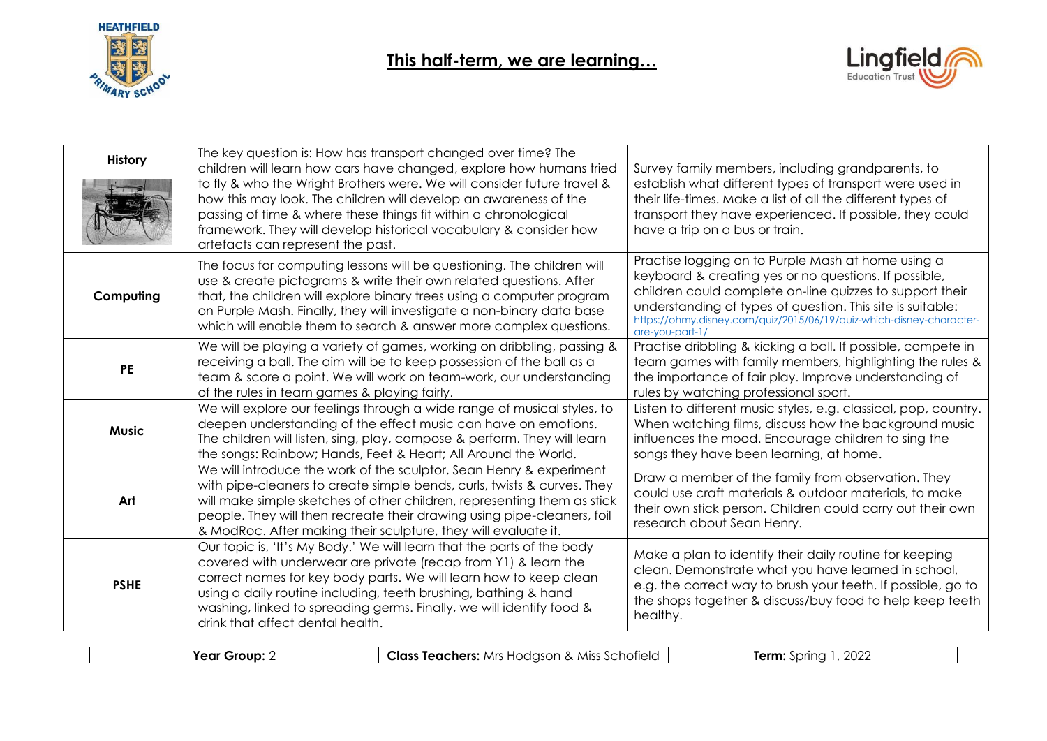



| <b>History</b> | The key question is: How has transport changed over time? The<br>children will learn how cars have changed, explore how humans tried<br>to fly & who the Wright Brothers were. We will consider future travel &<br>how this may look. The children will develop an awareness of the<br>passing of time & where these things fit within a chronological<br>framework. They will develop historical vocabulary & consider how<br>artefacts can represent the past. | Survey family members, including grandparents, to<br>establish what different types of transport were used in<br>their life-times. Make a list of all the different types of<br>transport they have experienced. If possible, they could<br>have a trip on a bus or train.                                                       |
|----------------|------------------------------------------------------------------------------------------------------------------------------------------------------------------------------------------------------------------------------------------------------------------------------------------------------------------------------------------------------------------------------------------------------------------------------------------------------------------|----------------------------------------------------------------------------------------------------------------------------------------------------------------------------------------------------------------------------------------------------------------------------------------------------------------------------------|
| Computing      | The focus for computing lessons will be questioning. The children will<br>use & create pictograms & write their own related questions. After<br>that, the children will explore binary trees using a computer program<br>on Purple Mash. Finally, they will investigate a non-binary data base<br>which will enable them to search & answer more complex questions.                                                                                              | Practise logging on to Purple Mash at home using a<br>keyboard & creating yes or no questions. If possible,<br>children could complete on-line quizzes to support their<br>understanding of types of question. This site is suitable:<br>https://ohmy.disney.com/quiz/2015/06/19/quiz-which-disney-character-<br>are-vou-part-1. |
| <b>PE</b>      | We will be playing a variety of games, working on dribbling, passing &<br>receiving a ball. The aim will be to keep possession of the ball as a<br>team & score a point. We will work on team-work, our understanding<br>of the rules in team games & playing fairly.                                                                                                                                                                                            | Practise dribbling & kicking a ball. If possible, compete in<br>team games with family members, highlighting the rules &<br>the importance of fair play. Improve understanding of<br>rules by watching professional sport.                                                                                                       |
| <b>Music</b>   | We will explore our feelings through a wide range of musical styles, to<br>deepen understanding of the effect music can have on emotions.<br>The children will listen, sing, play, compose & perform. They will learn<br>the songs: Rainbow; Hands, Feet & Heart; All Around the World.                                                                                                                                                                          | Listen to different music styles, e.g. classical, pop, country.<br>When watching films, discuss how the background music<br>influences the mood. Encourage children to sing the<br>songs they have been learning, at home.                                                                                                       |
| Art            | We will introduce the work of the sculptor, Sean Henry & experiment<br>with pipe-cleaners to create simple bends, curls, twists & curves. They<br>will make simple sketches of other children, representing them as stick<br>people. They will then recreate their drawing using pipe-cleaners, foil<br>& ModRoc. After making their sculpture, they will evaluate it.                                                                                           | Draw a member of the family from observation. They<br>could use craft materials & outdoor materials, to make<br>their own stick person. Children could carry out their own<br>research about Sean Henry.                                                                                                                         |
| <b>PSHE</b>    | Our topic is, 'It's My Body.' We will learn that the parts of the body<br>covered with underwear are private (recap from Y1) & learn the<br>correct names for key body parts. We will learn how to keep clean<br>using a daily routine including, teeth brushing, bathing & hand<br>washing, linked to spreading germs. Finally, we will identify food &<br>drink that affect dental health.                                                                     | Make a plan to identify their daily routine for keeping<br>clean. Demonstrate what you have learned in school,<br>e.g. the correct way to brush your teeth. If possible, go to<br>the shops together & discuss/buy food to help keep teeth<br>healthy.                                                                           |

**Year Group:** 2 **Class Teachers:** Mrs Hodgson & Miss Schofield **Term:** Spring 1, 2022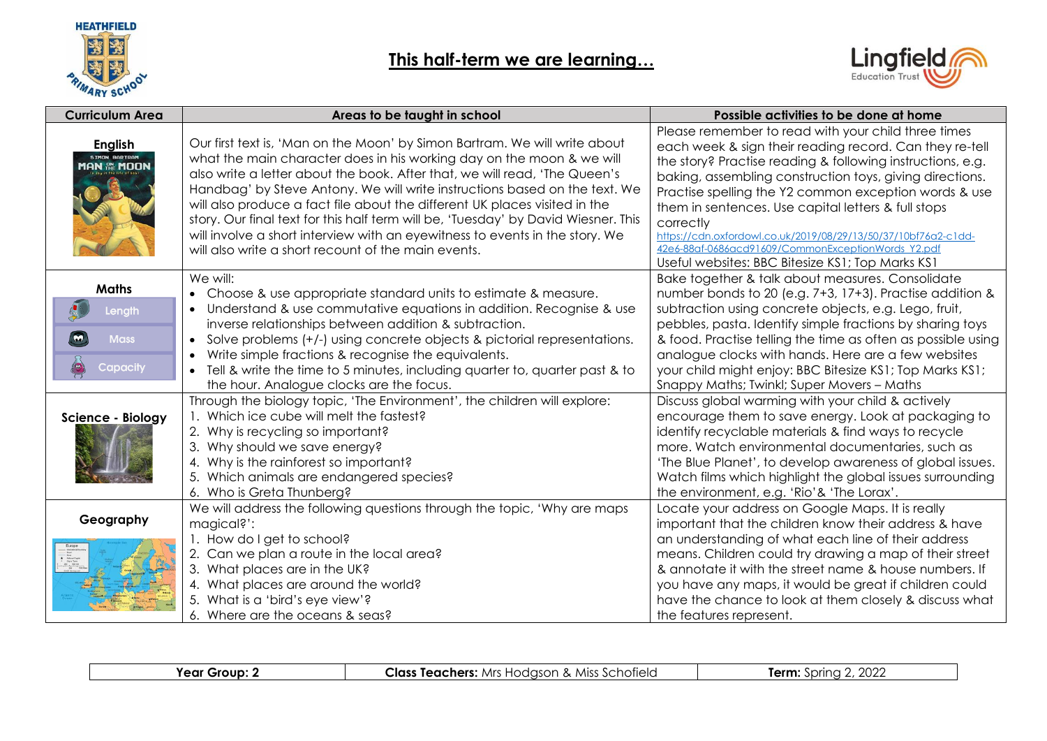



| <b>Curriculum Area</b>                                         | Areas to be taught in school                                                                                                                                                                                                                                                                                                                                                                                                                                                                                                                                                                                               | Possible activities to be done at home                                                                                                                                                                                                                                                                                                                                                                                                                                                                                                            |
|----------------------------------------------------------------|----------------------------------------------------------------------------------------------------------------------------------------------------------------------------------------------------------------------------------------------------------------------------------------------------------------------------------------------------------------------------------------------------------------------------------------------------------------------------------------------------------------------------------------------------------------------------------------------------------------------------|---------------------------------------------------------------------------------------------------------------------------------------------------------------------------------------------------------------------------------------------------------------------------------------------------------------------------------------------------------------------------------------------------------------------------------------------------------------------------------------------------------------------------------------------------|
| English<br>SIMON BARTRAM<br>MAN <b>AN MOON</b>                 | Our first text is, 'Man on the Moon' by Simon Bartram. We will write about<br>what the main character does in his working day on the moon & we will<br>also write a letter about the book. After that, we will read, 'The Queen's<br>Handbag' by Steve Antony. We will write instructions based on the text. We<br>will also produce a fact file about the different UK places visited in the<br>story. Our final text for this half term will be, 'Tuesday' by David Wiesner. This<br>will involve a short interview with an eyewitness to events in the story. We<br>will also write a short recount of the main events. | Please remember to read with your child three times<br>each week & sign their reading record. Can they re-tell<br>the story? Practise reading & following instructions, e.g.<br>baking, assembling construction toys, giving directions.<br>Practise spelling the Y2 common exception words & use<br>them in sentences. Use capital letters & full stops<br>correctly<br>https://cdn.oxfordowl.co.uk/2019/08/29/13/50/37/10bf76q2-c1dd-<br>42e6-88af-0686acd91609/CommonExceptionWords Y2.pdf<br>Useful websites: BBC Bitesize KS1; Top Marks KS1 |
| <b>Maths</b><br>Length<br><b>Mass</b><br>$\bullet$<br>Capacity | We will:<br>• Choose & use appropriate standard units to estimate & measure.<br>Understand & use commutative equations in addition. Recognise & use<br>inverse relationships between addition & subtraction.<br>Solve problems (+/-) using concrete objects & pictorial representations.<br>Write simple fractions & recognise the equivalents.<br>Tell & write the time to 5 minutes, including quarter to, quarter past & to<br>the hour. Analogue clocks are the focus.                                                                                                                                                 | Bake together & talk about measures. Consolidate<br>number bonds to 20 (e.g. 7+3, 17+3). Practise addition &<br>subtraction using concrete objects, e.g. Lego, fruit,<br>pebbles, pasta. Identify simple fractions by sharing toys<br>& food. Practise telling the time as often as possible using<br>analogue clocks with hands. Here are a few websites<br>your child might enjoy: BBC Bitesize KS1; Top Marks KS1;<br>Snappy Maths; Twinkl; Super Movers - Maths                                                                               |
| Science - Biology                                              | Through the biology topic, 'The Environment', the children will explore:<br>1. Which ice cube will melt the fastest?<br>2. Why is recycling so important?<br>3. Why should we save energy?<br>4. Why is the rainforest so important?<br>Which animals are endangered species?<br>6. Who is Greta Thunberg?                                                                                                                                                                                                                                                                                                                 | Discuss global warming with your child & actively<br>encourage them to save energy. Look at packaging to<br>identify recyclable materials & find ways to recycle<br>more. Watch environmental documentaries, such as<br>'The Blue Planet', to develop awareness of global issues.<br>Watch films which highlight the global issues surrounding<br>the environment, e.g. 'Rio'& 'The Lorax'.                                                                                                                                                       |
| Geography                                                      | We will address the following questions through the topic, 'Why are maps<br>magical?':<br>1. How do I get to school?<br>2. Can we plan a route in the local area?<br>3. What places are in the UK?<br>4. What places are around the world?<br>5. What is a 'bird's eye view'?<br>6. Where are the oceans & seas?                                                                                                                                                                                                                                                                                                           | Locate your address on Google Maps. It is really<br>important that the children know their address & have<br>an understanding of what each line of their address<br>means. Children could try drawing a map of their street<br>& annotate it with the street name & house numbers. If<br>you have any maps, it would be great if children could<br>have the chance to look at them closely & discuss what<br>the features represent.                                                                                                              |